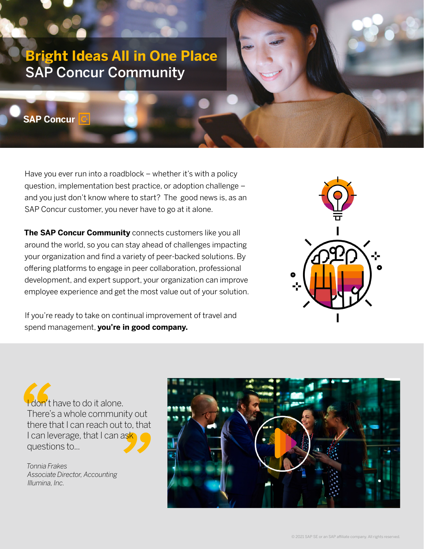# **Bright Ideas All in One Place** SAP Concur Community

**SAP Concur** 

Have you ever run into a roadblock – whether it's with a policy question, implementation best practice, or adoption challenge – and you just don't know where to start? The good news is, as an SAP Concur customer, you never have to go at it alone.

**The SAP Concur Community** connects customers like you all around the world, so you can stay ahead of challenges impacting your organization and find a variety of peer-backed solutions. By offering platforms to engage in peer collaboration, professional development, and expert support, your organization can improve employee experience and get the most value out of your solution.

If you're ready to take on continual improvement of travel and spend management, **you're in good company.** 



don't have to do it alone. There's a whole community out there that I can reach out to, that I can leverage, that I can ask questions to...

*Tonnia Frakes Associate Director, Accounting Illumina, Inc.*